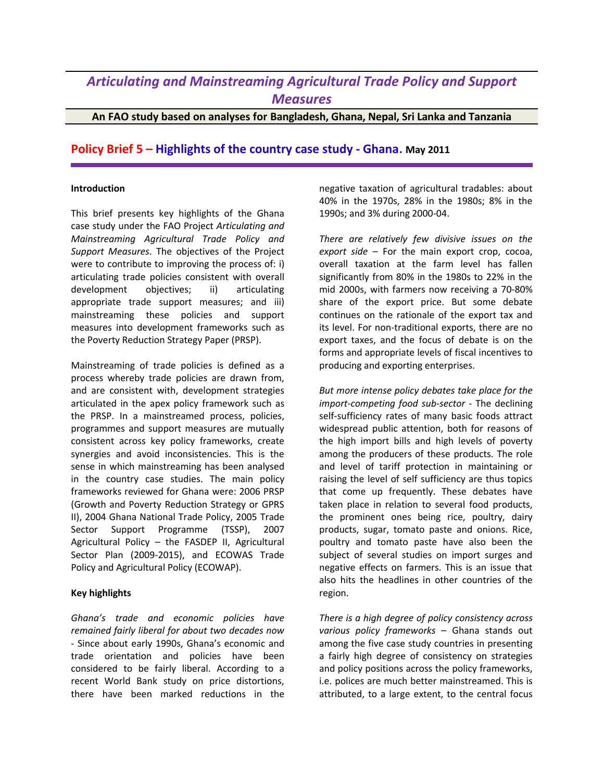## *Articulating and Mainstreaming Agricultural Trade Policy and Support Measures*

**An FAO study based on analyses for Bangladesh, Ghana, Nepal, Sri Lanka and Tanzania**

## **Policy Brief 5 – Highlights of the country case study - Ghana. May 2011**

## **Introduction**

This brief presents key highlights of the Ghana case study under the FAO Project *Articulating and Mainstreaming Agricultural Trade Policy and Support Measures*. The objectives of the Project were to contribute to improving the process of: i) articulating trade policies consistent with overall development objectives; ii) articulating appropriate trade support measures; and iii) mainstreaming these policies and support measures into development frameworks such as the Poverty Reduction Strategy Paper (PRSP).

Mainstreaming of trade policies is defined as a process whereby trade policies are drawn from, and are consistent with, development strategies articulated in the apex policy framework such as the PRSP. In a mainstreamed process, policies, programmes and support measures are mutually consistent across key policy frameworks, create synergies and avoid inconsistencies. This is the sense in which mainstreaming has been analysed in the country case studies. The main policy frameworks reviewed for Ghana were: 2006 PRSP (Growth and Poverty Reduction Strategy or GPRS II), 2004 Ghana National Trade Policy, 2005 Trade Sector Support Programme (TSSP), 2007 Agricultural Policy – the FASDEP II, Agricultural Sector Plan (2009-2015), and ECOWAS Trade Policy and Agricultural Policy (ECOWAP).

## **Key highlights**

*Ghana's trade and economic policies have remained fairly liberal for about two decades now* - Since about early 1990s, Ghana's economic and trade orientation and policies have been considered to be fairly liberal. According to a recent World Bank study on price distortions, there have been marked reductions in the

negative taxation of agricultural tradables: about 40% in the 1970s, 28% in the 1980s; 8% in the 1990s; and 3% during 2000-04.

*There are relatively few divisive issues on the export side* – For the main export crop, cocoa, overall taxation at the farm level has fallen significantly from 80% in the 1980s to 22% in the mid 2000s, with farmers now receiving a 70-80% share of the export price. But some debate continues on the rationale of the export tax and its level. For non-traditional exports, there are no export taxes, and the focus of debate is on the forms and appropriate levels of fiscal incentives to producing and exporting enterprises.

*But more intense policy debates take place for the import-competing food sub-sector* - The declining self-sufficiency rates of many basic foods attract widespread public attention, both for reasons of the high import bills and high levels of poverty among the producers of these products. The role and level of tariff protection in maintaining or raising the level of self sufficiency are thus topics that come up frequently. These debates have taken place in relation to several food products, the prominent ones being rice, poultry, dairy products, sugar, tomato paste and onions. Rice, poultry and tomato paste have also been the subject of several studies on import surges and negative effects on farmers. This is an issue that also hits the headlines in other countries of the region.

*There is a high degree of policy consistency across various policy frameworks* – Ghana stands out among the five case study countries in presenting a fairly high degree of consistency on strategies and policy positions across the policy frameworks, i.e. polices are much better mainstreamed. This is attributed, to a large extent, to the central focus